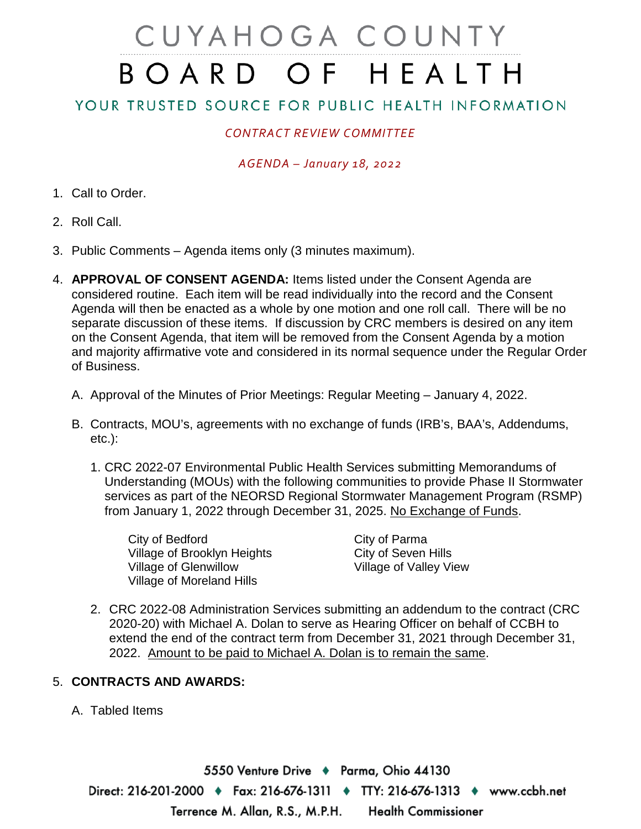# CUYAHOGA COUNTY BOARD OF HEALTH

## YOUR TRUSTED SOURCE FOR PUBLIC HEALTH INFORMATION

## *CONTRACT REVIEW COMMITTEE*

### *AGENDA – January 18, 2022*

- 1. Call to Order.
- 2. Roll Call.
- 3. Public Comments Agenda items only (3 minutes maximum).
- 4. **APPROVAL OF CONSENT AGENDA:** Items listed under the Consent Agenda are considered routine. Each item will be read individually into the record and the Consent Agenda will then be enacted as a whole by one motion and one roll call. There will be no separate discussion of these items. If discussion by CRC members is desired on any item on the Consent Agenda, that item will be removed from the Consent Agenda by a motion and majority affirmative vote and considered in its normal sequence under the Regular Order of Business.
	- A. Approval of the Minutes of Prior Meetings: Regular Meeting January 4, 2022.
	- B. Contracts, MOU's, agreements with no exchange of funds (IRB's, BAA's, Addendums, etc.):
		- 1. CRC 2022-07 Environmental Public Health Services submitting Memorandums of Understanding (MOUs) with the following communities to provide Phase II Stormwater services as part of the NEORSD Regional Stormwater Management Program (RSMP) from January 1, 2022 through December 31, 2025. No Exchange of Funds.

City of Bedford<br>
Village of Brooklyn Heights<br>
City of Seven Hills Village of Brooklyn Heights Village of Glenwillow Village of Valley View Village of Moreland Hills

2. CRC 2022-08 Administration Services submitting an addendum to the contract (CRC 2020-20) with Michael A. Dolan to serve as Hearing Officer on behalf of CCBH to extend the end of the contract term from December 31, 2021 through December 31, 2022. Amount to be paid to Michael A. Dolan is to remain the same.

#### 5. **CONTRACTS AND AWARDS:**

A. Tabled Items

5550 Venture Drive + Parma, Ohio 44130 Direct: 216-201-2000 ♦ Fax: 216-676-1311 ♦ TTY: 216-676-1313 ♦ www.ccbh.net Terrence M. Allan, R.S., M.P.H. **Health Commissioner**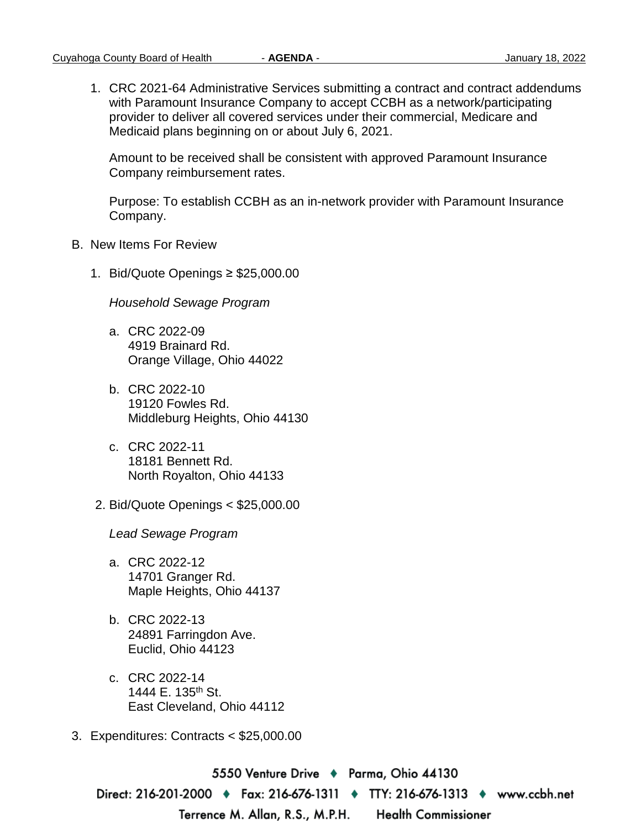1. CRC 2021-64 Administrative Services submitting a contract and contract addendums with Paramount Insurance Company to accept CCBH as a network/participating provider to deliver all covered services under their commercial, Medicare and Medicaid plans beginning on or about July 6, 2021.

Amount to be received shall be consistent with approved Paramount Insurance Company reimbursement rates.

Purpose: To establish CCBH as an in-network provider with Paramount Insurance Company.

- B. New Items For Review
	- 1. Bid/Quote Openings ≥ \$25,000.00

*Household Sewage Program* 

- a. CRC 2022-09 4919 Brainard Rd. Orange Village, Ohio 44022
- b. CRC 2022-10 19120 Fowles Rd. Middleburg Heights, Ohio 44130
- c. CRC 2022-11 18181 Bennett Rd. North Royalton, Ohio 44133
- 2. Bid/Quote Openings < \$25,000.00

*Lead Sewage Program* 

- a. CRC 2022-12 14701 Granger Rd. Maple Heights, Ohio 44137
- b. CRC 2022-13 24891 Farringdon Ave. Euclid, Ohio 44123
- c. CRC 2022-14 1444 E. 135<sup>th</sup> St. East Cleveland, Ohio 44112
- 3. Expenditures: Contracts < \$25,000.00

5550 Venture Drive → Parma, Ohio 44130 Direct: 216-201-2000 • Fax: 216-676-1311 • TTY: 216-676-1313 • www.ccbh.net **Health Commissioner** Terrence M. Allan, R.S., M.P.H.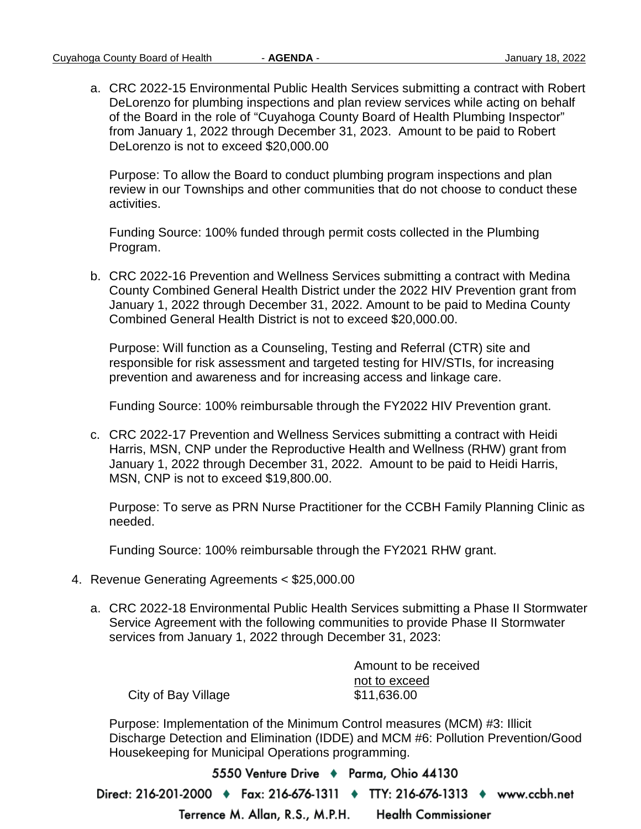a. CRC 2022-15 Environmental Public Health Services submitting a contract with Robert DeLorenzo for plumbing inspections and plan review services while acting on behalf of the Board in the role of "Cuyahoga County Board of Health Plumbing Inspector" from January 1, 2022 through December 31, 2023. Amount to be paid to Robert DeLorenzo is not to exceed \$20,000.00

Purpose: To allow the Board to conduct plumbing program inspections and plan review in our Townships and other communities that do not choose to conduct these activities.

Funding Source: 100% funded through permit costs collected in the Plumbing Program.

b. CRC 2022-16 Prevention and Wellness Services submitting a contract with Medina County Combined General Health District under the 2022 HIV Prevention grant from January 1, 2022 through December 31, 2022. Amount to be paid to Medina County Combined General Health District is not to exceed \$20,000.00.

Purpose: Will function as a Counseling, Testing and Referral (CTR) site and responsible for risk assessment and targeted testing for HIV/STIs, for increasing prevention and awareness and for increasing access and linkage care.

Funding Source: 100% reimbursable through the FY2022 HIV Prevention grant.

c. CRC 2022-17 Prevention and Wellness Services submitting a contract with Heidi Harris, MSN, CNP under the Reproductive Health and Wellness (RHW) grant from January 1, 2022 through December 31, 2022. Amount to be paid to Heidi Harris, MSN, CNP is not to exceed \$19,800.00.

Purpose: To serve as PRN Nurse Practitioner for the CCBH Family Planning Clinic as needed.

Funding Source: 100% reimbursable through the FY2021 RHW grant.

- 4. Revenue Generating Agreements < \$25,000.00
	- a. CRC 2022-18 Environmental Public Health Services submitting a Phase II Stormwater Service Agreement with the following communities to provide Phase II Stormwater services from January 1, 2022 through December 31, 2023:

Amount to be received not to exceed City of Bay Village \$11,636.00

Purpose: Implementation of the Minimum Control measures (MCM) #3: Illicit Discharge Detection and Elimination (IDDE) and MCM #6: Pollution Prevention/Good Housekeeping for Municipal Operations programming.

5550 Venture Drive + Parma, Ohio 44130 Direct: 216-201-2000 • Fax: 216-676-1311 • TTY: 216-676-1313 • www.ccbh.net Terrence M. Allan, R.S., M.P.H. **Health Commissioner**